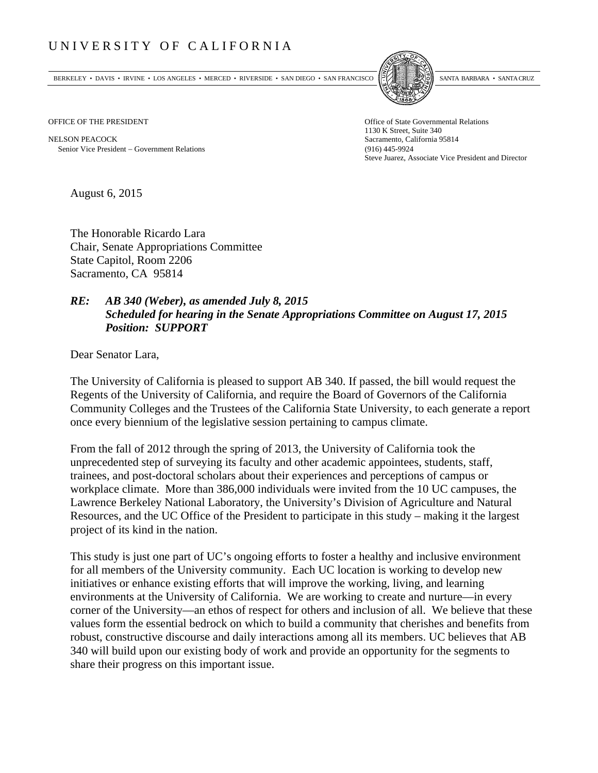## UNIVERSITY OF CALIFORNIA

BERKELEY • DAVIS • IRVINE • LOS ANGELES • MERCED • RIVERSIDE • SAN DIEGO • SAN FRANCISCO SANTA BARBARA • SANTA CRUZ



OFFICE OF THE PRESIDENT STATES OF THE PRESIDENT

NELSON PEACOCK Sacramento, California 95814 Senior Vice President Government Relations (916) 445-9924

1130 K Street, Suite 340 Steve Juarez, Associate Vice President and Director

August 6, 2015

The Honorable Ricardo Lara Chair, Senate Appropriations Committee State Capitol, Room 2206 Sacramento, CA 95814

## *RE: AB 340 (Weber), as amended July 8, 2015 Scheduled for hearing in the Senate Appropriations Committee on August 17, 2015 Position: SUPPORT*

Dear Senator Lara,

The University of California is pleased to support AB 340. If passed, the bill would request the Regents of the University of California, and require the Board of Governors of the California Community Colleges and the Trustees of the California State University, to each generate a report once every biennium of the legislative session pertaining to campus climate.

From the fall of 2012 through the spring of 2013, the University of California took the unprecedented step of surveying its faculty and other academic appointees, students, staff, trainees, and post-doctoral scholars about their experiences and perceptions of campus or workplace climate. More than 386,000 individuals were invited from the 10 UC campuses, the Lawrence Berkeley National Laboratory, the University's Division of Agriculture and Natural Resources, and the UC Office of the President to participate in this study – making it the largest project of its kind in the nation.

This study is just one part of UC's ongoing efforts to foster a healthy and inclusive environment for all members of the University community. Each UC location is working to develop new initiatives or enhance existing efforts that will improve the working, living, and learning environments at the University of California. We are working to create and nurture—in every corner of the University—an ethos of respect for others and inclusion of all. We believe that these values form the essential bedrock on which to build a community that cherishes and benefits from robust, constructive discourse and daily interactions among all its members. UC believes that AB 340 will build upon our existing body of work and provide an opportunity for the segments to share their progress on this important issue.